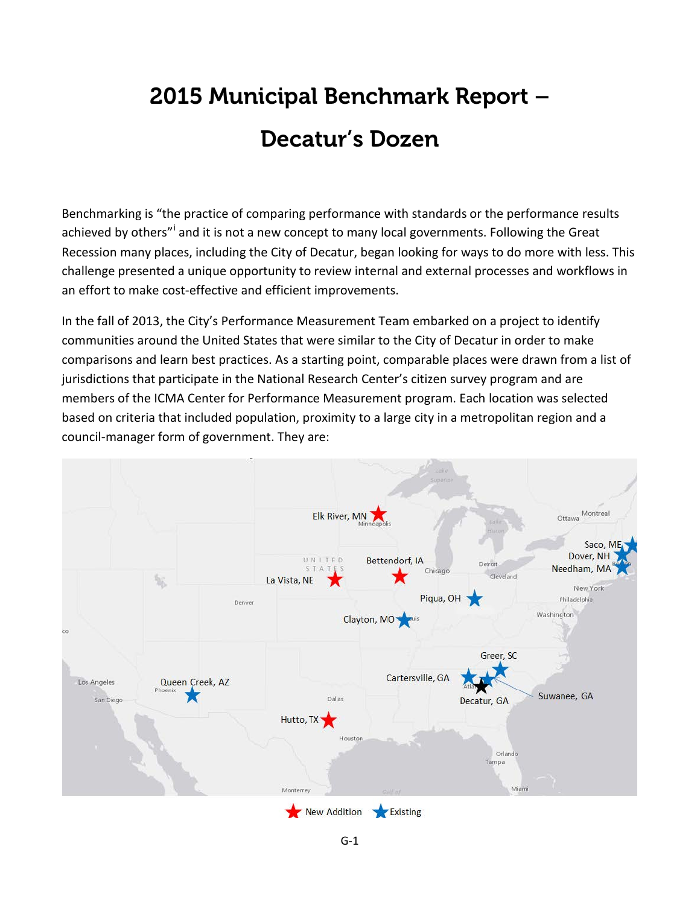#### 2015 Municipal Benchmark Report – Decatur's Dozen

Benchmarking is "the practice of comparing performance with standards or the performance results ach[i](#page-22-0)eved by others"<sup>i</sup> and it is not a new concept to many local governments. Following the Great Recession many places, including the City of Decatur, began looking for ways to do more with less. This challenge presented a unique opportunity to review internal and external processes and workflows in an effort to make cost-effective and efficient improvements.

In the fall of 2013, the City's Performance Measurement Team embarked on a project to identify communities around the United States that were similar to the City of Decatur in order to make comparisons and learn best practices. As a starting point, comparable places were drawn from a list of jurisdictions that participate in the National Research Center's citizen survey program and are members of the ICMA Center for Performance Measurement program. Each location was selected based on criteria that included population, proximity to a large city in a metropolitan region and a council-manager form of government. They are:

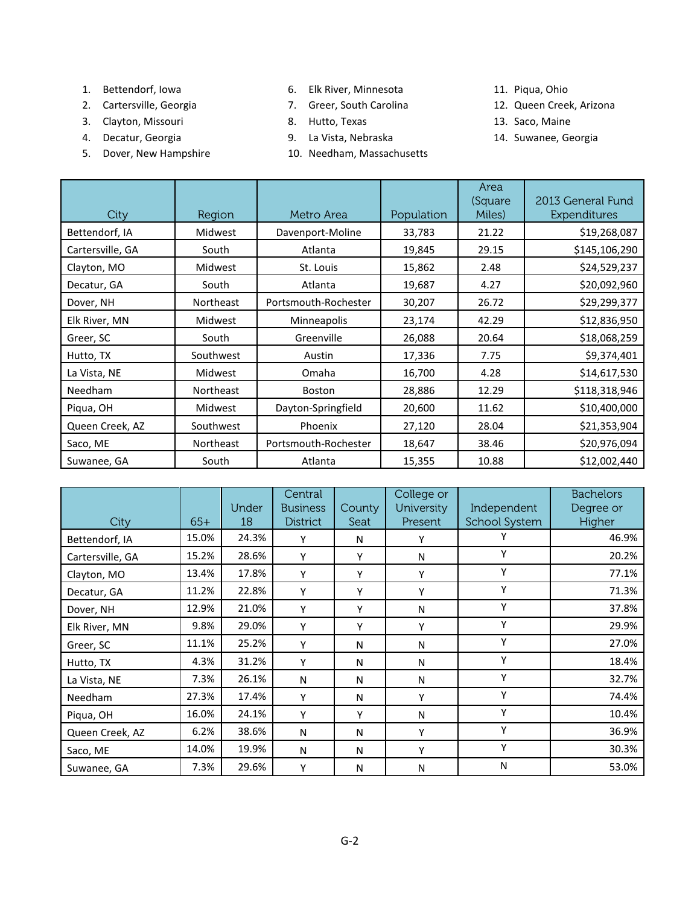- 1. Bettendorf, Iowa
- 2. Cartersville, Georgia
- 3. Clayton, Missouri
- 4. Decatur, Georgia
- 5. Dover, New Hampshire
- 6. Elk River, Minnesota
- 7. Greer, South Carolina
- 8. Hutto, Texas
- 9. La Vista, Nebraska
- 10. Needham, Massachusetts
- 11. Piqua, Ohio
- 12. Queen Creek, Arizona
- 13. Saco, Maine
- 14. Suwanee, Georgia

| City             | Region           | Metro Area           | Population | Area<br>(Square<br>Miles) | 2013 General Fund<br>Expenditures |
|------------------|------------------|----------------------|------------|---------------------------|-----------------------------------|
| Bettendorf, IA   | Midwest          | Davenport-Moline     | 33,783     | 21.22                     | \$19,268,087                      |
| Cartersville, GA | South            | Atlanta              | 19,845     | 29.15                     | \$145,106,290                     |
| Clayton, MO      | Midwest          | St. Louis            | 15,862     | 2.48                      | \$24,529,237                      |
| Decatur, GA      | South            | Atlanta              | 19,687     | 4.27                      | \$20,092,960                      |
| Dover, NH        | <b>Northeast</b> | Portsmouth-Rochester | 30,207     | 26.72                     | \$29,299,377                      |
| Elk River, MN    | Midwest          | Minneapolis          | 23,174     | 42.29                     | \$12,836,950                      |
| Greer, SC        | South            | Greenville           | 26,088     | 20.64                     | \$18,068,259                      |
| Hutto, TX        | Southwest        | Austin               | 17,336     | 7.75                      | \$9,374,401                       |
| La Vista, NE     | Midwest          | Omaha                | 16,700     | 4.28                      | \$14,617,530                      |
| Needham          | Northeast        | Boston               | 28,886     | 12.29                     | \$118,318,946                     |
| Piqua, OH        | Midwest          | Dayton-Springfield   | 20,600     | 11.62                     | \$10,400,000                      |
| Queen Creek, AZ  | Southwest        | Phoenix              | 27,120     | 28.04                     | \$21,353,904                      |
| Saco, ME         | Northeast        | Portsmouth-Rochester | 18,647     | 38.46                     | \$20,976,094                      |
| Suwanee, GA      | South            | Atlanta              | 15,355     | 10.88                     | \$12,002,440                      |

| City             | $65+$ | Under<br>18 | <b>Central</b><br><b>Business</b><br><b>District</b> | County<br>Seat | College or<br>University<br>Present | Independent<br><b>School System</b> | <b>Bachelors</b><br>Degree or<br>Higher |
|------------------|-------|-------------|------------------------------------------------------|----------------|-------------------------------------|-------------------------------------|-----------------------------------------|
| Bettendorf, IA   | 15.0% | 24.3%       | Υ                                                    | N              | Υ                                   |                                     | 46.9%                                   |
| Cartersville, GA | 15.2% | 28.6%       | Y                                                    | Υ              | N                                   | Y                                   | 20.2%                                   |
| Clayton, MO      | 13.4% | 17.8%       | Y                                                    | Υ              | Υ                                   | Υ                                   | 77.1%                                   |
| Decatur, GA      | 11.2% | 22.8%       | Υ                                                    | Υ              | Υ                                   | Y                                   | 71.3%                                   |
| Dover, NH        | 12.9% | 21.0%       | Y                                                    | Υ              | N                                   | Y                                   | 37.8%                                   |
| Elk River, MN    | 9.8%  | 29.0%       | Y                                                    | Υ              | Υ                                   | Y                                   | 29.9%                                   |
| Greer, SC        | 11.1% | 25.2%       | Υ                                                    | Ν              | N                                   | Y                                   | 27.0%                                   |
| Hutto, TX        | 4.3%  | 31.2%       | Υ                                                    | N              | N                                   | Y                                   | 18.4%                                   |
| La Vista, NE     | 7.3%  | 26.1%       | N                                                    | N              | N                                   | Υ                                   | 32.7%                                   |
| <b>Needham</b>   | 27.3% | 17.4%       | Y                                                    | N              | Υ                                   | Y                                   | 74.4%                                   |
| Piqua, OH        | 16.0% | 24.1%       | Υ                                                    | Υ              | N                                   | Υ                                   | 10.4%                                   |
| Queen Creek, AZ  | 6.2%  | 38.6%       | N                                                    | N              | Υ                                   | Y                                   | 36.9%                                   |
| Saco, ME         | 14.0% | 19.9%       | N                                                    | N              | Υ                                   | Y                                   | 30.3%                                   |
| Suwanee, GA      | 7.3%  | 29.6%       | Υ                                                    | Ν              | N                                   | N                                   | 53.0%                                   |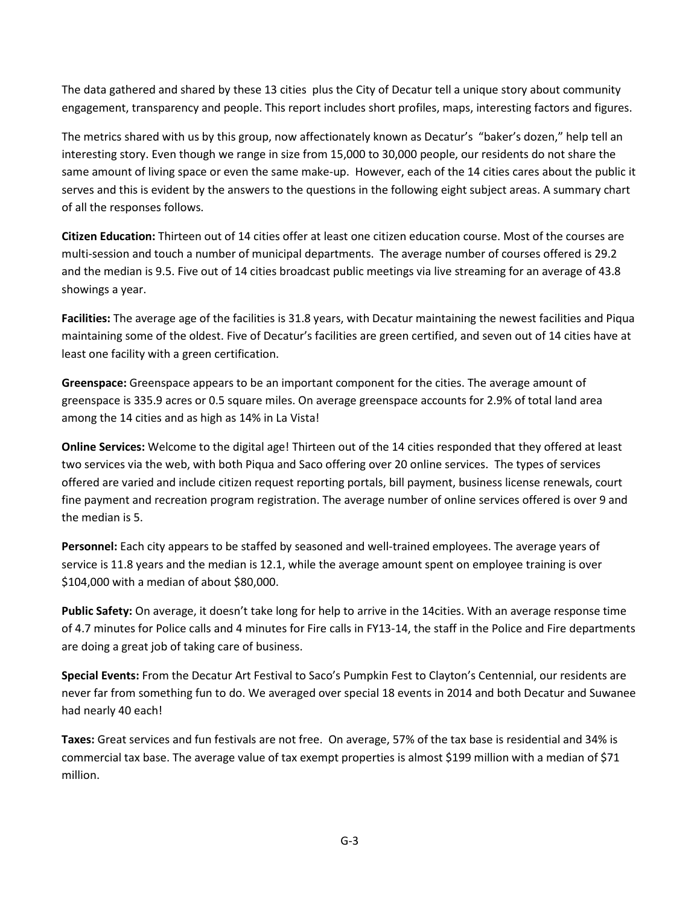The data gathered and shared by these 13 cities plus the City of Decatur tell a unique story about community engagement, transparency and people. This report includes short profiles, maps, interesting factors and figures.

The metrics shared with us by this group, now affectionately known as Decatur's "baker's dozen," help tell an interesting story. Even though we range in size from 15,000 to 30,000 people, our residents do not share the same amount of living space or even the same make-up. However, each of the 14 cities cares about the public it serves and this is evident by the answers to the questions in the following eight subject areas. A summary chart of all the responses follows.

**Citizen Education:** Thirteen out of 14 cities offer at least one citizen education course. Most of the courses are multi-session and touch a number of municipal departments. The average number of courses offered is 29.2 and the median is 9.5. Five out of 14 cities broadcast public meetings via live streaming for an average of 43.8 showings a year.

**Facilities:** The average age of the facilities is 31.8 years, with Decatur maintaining the newest facilities and Piqua maintaining some of the oldest. Five of Decatur's facilities are green certified, and seven out of 14 cities have at least one facility with a green certification.

**Greenspace:** Greenspace appears to be an important component for the cities. The average amount of greenspace is 335.9 acres or 0.5 square miles. On average greenspace accounts for 2.9% of total land area among the 14 cities and as high as 14% in La Vista!

**Online Services:** Welcome to the digital age! Thirteen out of the 14 cities responded that they offered at least two services via the web, with both Piqua and Saco offering over 20 online services. The types of services offered are varied and include citizen request reporting portals, bill payment, business license renewals, court fine payment and recreation program registration. The average number of online services offered is over 9 and the median is 5.

**Personnel:** Each city appears to be staffed by seasoned and well-trained employees. The average years of service is 11.8 years and the median is 12.1, while the average amount spent on employee training is over \$104,000 with a median of about \$80,000.

**Public Safety:** On average, it doesn't take long for help to arrive in the 14cities. With an average response time of 4.7 minutes for Police calls and 4 minutes for Fire calls in FY13-14, the staff in the Police and Fire departments are doing a great job of taking care of business.

**Special Events:** From the Decatur Art Festival to Saco's Pumpkin Fest to Clayton's Centennial, our residents are never far from something fun to do. We averaged over special 18 events in 2014 and both Decatur and Suwanee had nearly 40 each!

**Taxes:** Great services and fun festivals are not free. On average, 57% of the tax base is residential and 34% is commercial tax base. The average value of tax exempt properties is almost \$199 million with a median of \$71 million.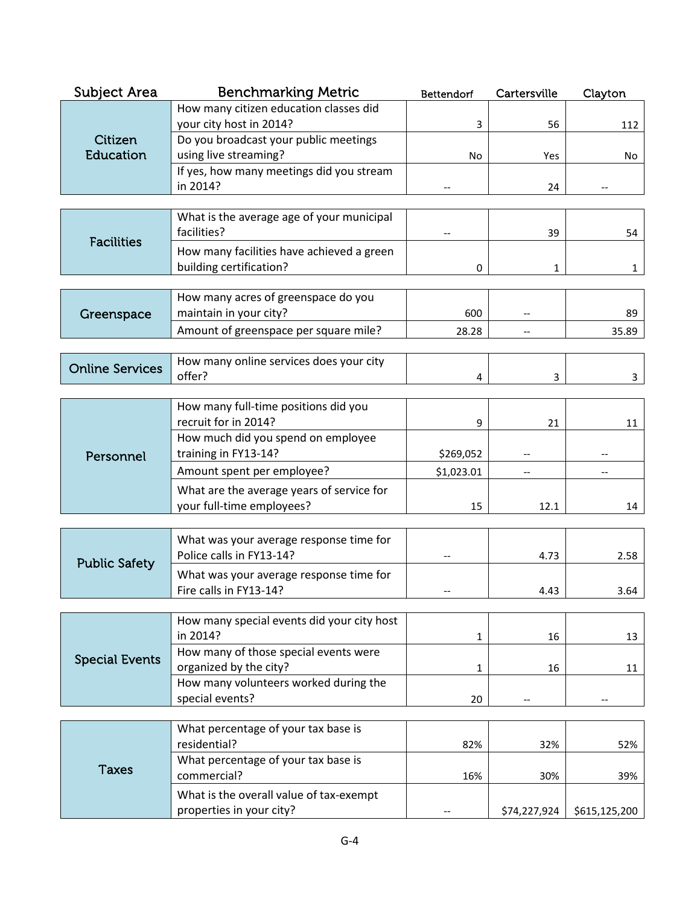| Subject Area           | <b>Benchmarking Metric</b>                                           | Bettendorf | Cartersville | Clayton       |
|------------------------|----------------------------------------------------------------------|------------|--------------|---------------|
|                        | How many citizen education classes did                               |            |              |               |
|                        | your city host in 2014?                                              | 3          | 56           | 112           |
| Citizen<br>Education   | Do you broadcast your public meetings<br>using live streaming?       | No         | Yes          |               |
|                        | If yes, how many meetings did you stream                             |            |              | No            |
|                        | in 2014?                                                             |            | 24           |               |
|                        |                                                                      |            |              |               |
| <b>Facilities</b>      | What is the average age of your municipal<br>facilities?             |            | 39           | 54            |
|                        | How many facilities have achieved a green<br>building certification? | 0          | 1            | 1             |
|                        |                                                                      |            |              |               |
|                        | How many acres of greenspace do you                                  |            |              |               |
| Greenspace             | maintain in your city?                                               | 600        |              | 89            |
|                        | Amount of greenspace per square mile?                                | 28.28      | $-$          | 35.89         |
|                        | How many online services does your city                              |            |              |               |
| <b>Online Services</b> | offer?                                                               | 4          | 3            | 3             |
|                        |                                                                      |            |              |               |
|                        | How many full-time positions did you<br>recruit for in 2014?         |            |              |               |
|                        | How much did you spend on employee                                   | 9          | 21           | 11            |
| Personnel              | training in FY13-14?                                                 | \$269,052  |              |               |
|                        | Amount spent per employee?                                           | \$1,023.01 |              |               |
|                        | What are the average years of service for                            |            |              |               |
|                        | your full-time employees?                                            | 15         | 12.1         | 14            |
|                        |                                                                      |            |              |               |
|                        | What was your average response time for                              |            |              |               |
| <b>Public Safety</b>   | Police calls in FY13-14?                                             |            | 4.73         | 2.58          |
|                        | What was your average response time for                              |            |              |               |
|                        | Fire calls in FY13-14?                                               |            | 4.43         | 3.64          |
|                        | How many special events did your city host                           |            |              |               |
|                        | in 2014?                                                             | 1          | 16           | 13            |
| <b>Special Events</b>  | How many of those special events were                                |            |              |               |
|                        | organized by the city?                                               | 1          | 16           | 11            |
|                        | How many volunteers worked during the<br>special events?             | 20         |              |               |
|                        |                                                                      |            |              |               |
|                        | What percentage of your tax base is                                  |            |              |               |
|                        | residential?                                                         | 82%        | 32%          | 52%           |
| <b>Taxes</b>           | What percentage of your tax base is<br>commercial?                   |            |              |               |
|                        |                                                                      | 16%        | 30%          | 39%           |
|                        | What is the overall value of tax-exempt<br>properties in your city?  |            | \$74,227,924 | \$615,125,200 |
|                        |                                                                      |            |              |               |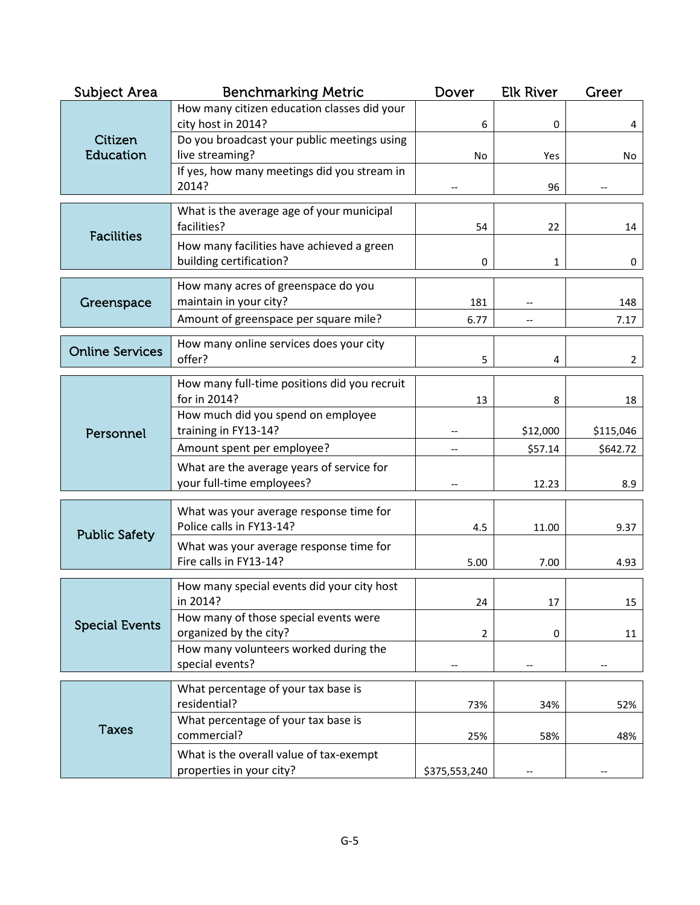| <b>Subject Area</b>    | <b>Benchmarking Metric</b>                                             | Dover         | <b>Elk River</b> | Greer          |
|------------------------|------------------------------------------------------------------------|---------------|------------------|----------------|
|                        | How many citizen education classes did your<br>city host in 2014?      | 6             | 0                | 4              |
| Citizen<br>Education   | Do you broadcast your public meetings using<br>live streaming?         | No            | Yes              | No             |
|                        | If yes, how many meetings did you stream in<br>2014?                   |               | 96               |                |
|                        | What is the average age of your municipal<br>facilities?               | 54            | 22               | 14             |
| <b>Facilities</b>      | How many facilities have achieved a green<br>building certification?   | 0             | $\mathbf{1}$     | 0              |
| Greenspace             | How many acres of greenspace do you<br>maintain in your city?          | 181           |                  | 148            |
|                        | Amount of greenspace per square mile?                                  | 6.77          |                  | 7.17           |
| <b>Online Services</b> | How many online services does your city<br>offer?                      | 5             | 4                | $\overline{2}$ |
|                        |                                                                        |               |                  |                |
|                        | How many full-time positions did you recruit<br>for in 2014?           | 13            | 8                | 18             |
| Personnel              | How much did you spend on employee<br>training in FY13-14?             |               | \$12,000         | \$115,046      |
|                        | Amount spent per employee?                                             |               | \$57.14          | \$642.72       |
|                        | What are the average years of service for<br>your full-time employees? |               | 12.23            | 8.9            |
|                        | What was your average response time for                                |               |                  |                |
| <b>Public Safety</b>   | Police calls in FY13-14?                                               | 4.5           | 11.00            | 9.37           |
|                        | What was your average response time for<br>Fire calls in FY13-14?      | 5.00          | 7.00             | 4.93           |
|                        | How many special events did your city host<br>in 2014?                 | 24            | 17               | 15             |
| <b>Special Events</b>  | How many of those special events were<br>organized by the city?        | 2             | 0                | 11             |
|                        | How many volunteers worked during the<br>special events?               |               |                  |                |
|                        | What percentage of your tax base is                                    |               |                  |                |
|                        | residential?                                                           | 73%           | 34%              | 52%            |
| <b>Taxes</b>           | What percentage of your tax base is<br>commercial?                     | 25%           | 58%              | 48%            |
|                        | What is the overall value of tax-exempt<br>properties in your city?    | \$375,553,240 |                  |                |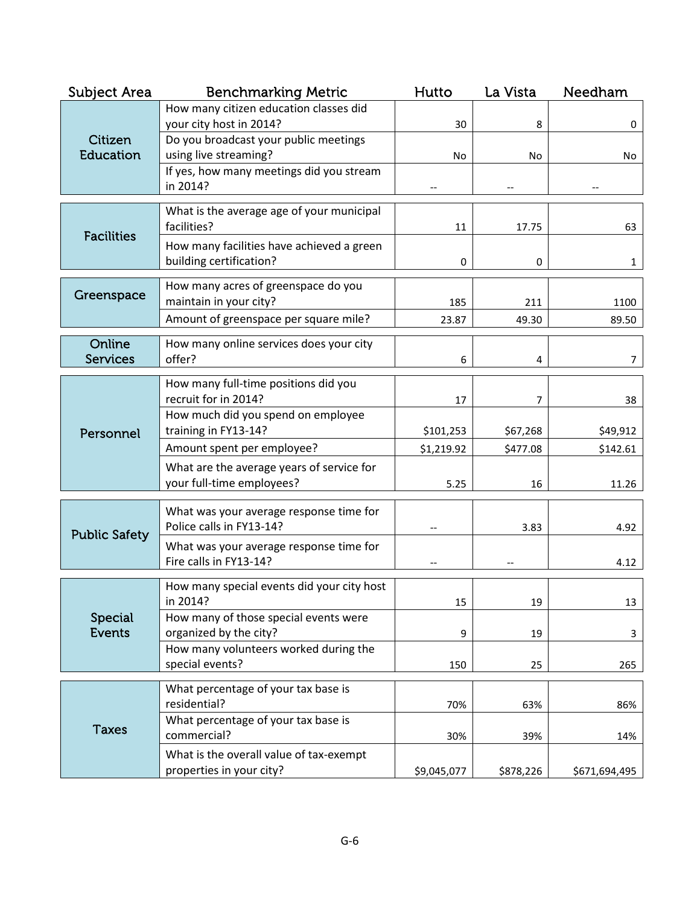| Subject Area         | <b>Benchmarking Metric</b>                                      | Hutto       | La Vista  | Needham       |
|----------------------|-----------------------------------------------------------------|-------------|-----------|---------------|
|                      | How many citizen education classes did                          |             |           |               |
|                      | your city host in 2014?                                         | 30          | 8         | 0             |
| Citizen<br>Education | Do you broadcast your public meetings<br>using live streaming?  | <b>No</b>   |           |               |
|                      | If yes, how many meetings did you stream                        |             | No        | No            |
|                      | in 2014?                                                        |             |           |               |
|                      | What is the average age of your municipal                       |             |           |               |
|                      | facilities?                                                     | 11          | 17.75     | 63            |
| <b>Facilities</b>    | How many facilities have achieved a green                       |             |           |               |
|                      | building certification?                                         | 0           | 0         | 1             |
|                      | How many acres of greenspace do you                             |             |           |               |
| Greenspace           | maintain in your city?                                          | 185         | 211       | 1100          |
|                      | Amount of greenspace per square mile?                           | 23.87       | 49.30     | 89.50         |
| Online               | How many online services does your city                         |             |           |               |
| <b>Services</b>      | offer?                                                          | 6           | 4         | 7             |
|                      |                                                                 |             |           |               |
|                      | How many full-time positions did you<br>recruit for in 2014?    | 17          | 7         | 38            |
|                      | How much did you spend on employee                              |             |           |               |
| Personnel            | training in FY13-14?                                            | \$101,253   | \$67,268  | \$49,912      |
|                      | Amount spent per employee?                                      | \$1,219.92  | \$477.08  | \$142.61      |
|                      | What are the average years of service for                       |             |           |               |
|                      | your full-time employees?                                       | 5.25        | 16        | 11.26         |
|                      | What was your average response time for                         |             |           |               |
| <b>Public Safety</b> | Police calls in FY13-14?                                        |             | 3.83      | 4.92          |
|                      | What was your average response time for                         |             |           |               |
|                      | Fire calls in FY13-14?                                          |             |           | 4.12          |
|                      | How many special events did your city host                      |             |           |               |
|                      | in 2014?                                                        | 15          | 19        | 13            |
| Special              | How many of those special events were                           |             |           |               |
| <b>Events</b>        | organized by the city?<br>How many volunteers worked during the | 9           | 19        | 3             |
|                      | special events?                                                 | 150         | 25        | 265           |
|                      |                                                                 |             |           |               |
|                      | What percentage of your tax base is<br>residential?             | 70%         | 63%       | 86%           |
|                      | What percentage of your tax base is                             |             |           |               |
| <b>Taxes</b>         | commercial?                                                     | 30%         | 39%       | 14%           |
|                      | What is the overall value of tax-exempt                         |             |           |               |
|                      | properties in your city?                                        | \$9,045,077 | \$878,226 | \$671,694,495 |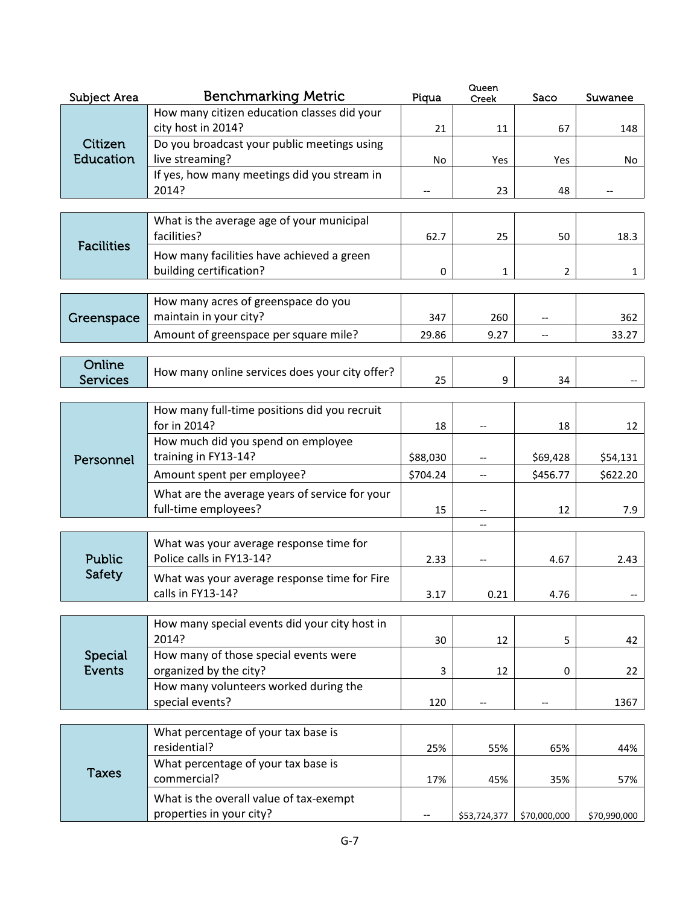| Subject Area      | <b>Benchmarking Metric</b>                                          | Piqua          | Queen<br>Creek | Saco         | Suwanee      |
|-------------------|---------------------------------------------------------------------|----------------|----------------|--------------|--------------|
|                   | How many citizen education classes did your                         |                |                |              |              |
|                   | city host in 2014?                                                  | 21             | 11             | 67           | 148          |
| Citizen           | Do you broadcast your public meetings using                         |                |                |              |              |
| Education         | live streaming?                                                     | No             | Yes            | Yes          | No           |
|                   | If yes, how many meetings did you stream in                         |                |                |              |              |
|                   | 2014?                                                               |                | 23             | 48           |              |
|                   |                                                                     |                |                |              |              |
|                   | What is the average age of your municipal<br>facilities?            | 62.7           | 25             | 50           | 18.3         |
| <b>Facilities</b> | How many facilities have achieved a green                           |                |                |              |              |
|                   | building certification?                                             | 0              | 1              | 2            | 1            |
|                   |                                                                     |                |                |              |              |
|                   | How many acres of greenspace do you                                 |                |                |              |              |
| Greenspace        | maintain in your city?                                              | 347            | 260            |              | 362          |
|                   | Amount of greenspace per square mile?                               | 29.86          | 9.27           |              | 33.27        |
|                   |                                                                     |                |                |              |              |
| Online            | How many online services does your city offer?                      |                |                |              |              |
| <b>Services</b>   |                                                                     | 25             | 9              | 34           |              |
|                   | How many full-time positions did you recruit                        |                |                |              |              |
|                   | for in 2014?                                                        | 18             |                | 18           | 12           |
|                   | How much did you spend on employee                                  |                |                |              |              |
| Personnel         | training in FY13-14?                                                | \$88,030       |                | \$69,428     | \$54,131     |
|                   | Amount spent per employee?                                          | \$704.24       | --             | \$456.77     | \$622.20     |
|                   | What are the average years of service for your                      |                |                |              |              |
|                   | full-time employees?                                                | 15             |                | 12           | 7.9          |
|                   |                                                                     |                | $-$            |              |              |
|                   | What was your average response time for                             |                |                |              |              |
| Public            | Police calls in FY13-14?                                            | 2.33           | $-\, -$        | 4.67         | 2.43         |
| Safety            | What was your average response time for Fire                        |                |                |              |              |
|                   | calls in FY13-14?                                                   | 3.17           | 0.21           | 4.76         |              |
|                   |                                                                     |                |                |              |              |
|                   | How many special events did your city host in                       |                |                |              |              |
|                   | 2014?                                                               | 30             | 12             | 5            | 42           |
| Special           | How many of those special events were                               |                |                |              |              |
| Events            | organized by the city?                                              | $\overline{3}$ | 12             | 0            | 22           |
|                   | How many volunteers worked during the                               |                |                |              |              |
|                   | special events?                                                     | 120            |                |              | 1367         |
|                   |                                                                     |                |                |              |              |
|                   | What percentage of your tax base is<br>residential?                 |                |                |              |              |
|                   | What percentage of your tax base is                                 | 25%            | 55%            | 65%          | 44%          |
| <b>Taxes</b>      | commercial?                                                         | 17%            | 45%            | 35%          | 57%          |
|                   |                                                                     |                |                |              |              |
|                   | What is the overall value of tax-exempt<br>properties in your city? |                |                |              |              |
|                   |                                                                     |                | \$53,724,377   | \$70,000,000 | \$70,990,000 |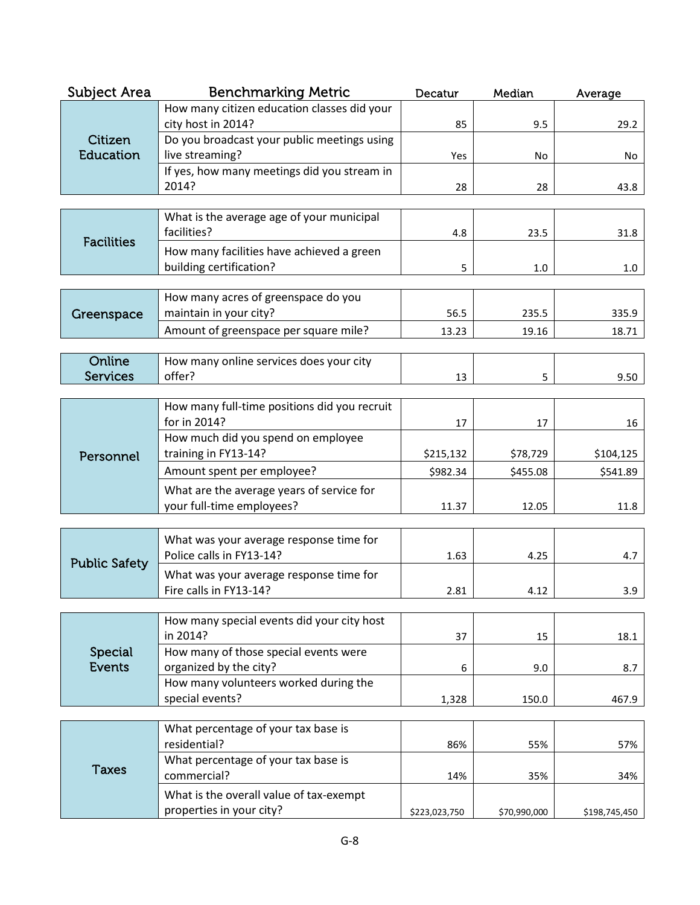| Subject Area         | <b>Benchmarking Metric</b>                                           | Decatur       | Median       | Average       |
|----------------------|----------------------------------------------------------------------|---------------|--------------|---------------|
|                      | How many citizen education classes did your                          |               |              |               |
|                      | city host in 2014?                                                   | 85            | 9.5          | 29.2          |
| Citizen<br>Education | Do you broadcast your public meetings using<br>live streaming?       | Yes           | No           | No            |
|                      | If yes, how many meetings did you stream in                          |               |              |               |
|                      | 2014?                                                                | 28            | 28           | 43.8          |
|                      |                                                                      |               |              |               |
| <b>Facilities</b>    | What is the average age of your municipal<br>facilities?             | 4.8           | 23.5         | 31.8          |
|                      | How many facilities have achieved a green<br>building certification? | 5             | 1.0          | 1.0           |
|                      |                                                                      |               |              |               |
|                      | How many acres of greenspace do you                                  |               |              |               |
| Greenspace           | maintain in your city?                                               | 56.5          | 235.5        | 335.9         |
|                      | Amount of greenspace per square mile?                                | 13.23         | 19.16        | 18.71         |
| Online               | How many online services does your city                              |               |              |               |
| <b>Services</b>      | offer?                                                               | 13            | 5            | 9.50          |
|                      |                                                                      |               |              |               |
|                      | How many full-time positions did you recruit<br>for in 2014?         | 17            | 17           | 16            |
|                      | How much did you spend on employee                                   |               |              |               |
| Personnel            | training in FY13-14?                                                 | \$215,132     | \$78,729     | \$104,125     |
|                      | Amount spent per employee?                                           | \$982.34      | \$455.08     | \$541.89      |
|                      | What are the average years of service for                            |               |              |               |
|                      | your full-time employees?                                            | 11.37         | 12.05        | 11.8          |
|                      |                                                                      |               |              |               |
|                      | What was your average response time for                              |               |              |               |
| <b>Public Safety</b> | Police calls in FY13-14?                                             | 1.63          | 4.25         | 4.7           |
|                      | What was your average response time for                              |               |              |               |
|                      | Fire calls in FY13-14?                                               | 2.81          | 4.12         | 3.9           |
|                      | How many special events did your city host                           |               |              |               |
|                      | in 2014?                                                             | 37            | 15           | 18.1          |
| Special              | How many of those special events were                                |               |              |               |
| Events               | organized by the city?                                               | 6             | 9.0          | 8.7           |
|                      | How many volunteers worked during the<br>special events?             |               |              |               |
|                      |                                                                      | 1,328         | 150.0        | 467.9         |
|                      | What percentage of your tax base is                                  |               |              |               |
|                      | residential?                                                         | 86%           | 55%          | 57%           |
| <b>Taxes</b>         | What percentage of your tax base is                                  |               |              |               |
|                      | commercial?                                                          | 14%           | 35%          | 34%           |
|                      | What is the overall value of tax-exempt                              |               |              |               |
|                      | properties in your city?                                             | \$223,023,750 | \$70,990,000 | \$198,745,450 |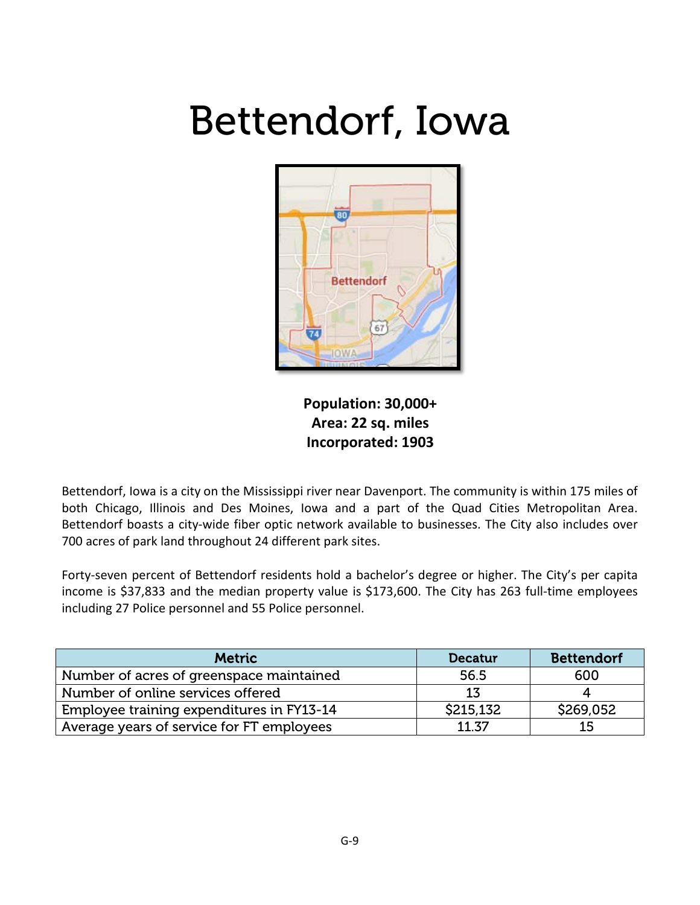#### Bettendorf, Iowa



**Population: 30,000+ Area: 22 sq. miles Incorporated: 1903**

Bettendorf, Iowa is a city on the Mississippi river near Davenport. The community is within 175 miles of both Chicago, Illinois and Des Moines, Iowa and a part of the Quad Cities Metropolitan Area. Bettendorf boasts a city-wide fiber optic network available to businesses. The City also includes over 700 acres of park land throughout 24 different park sites.

Forty-seven percent of Bettendorf residents hold a bachelor's degree or higher. The City's per capita income is \$37,833 and the median property value is \$173,600. The City has 263 full-time employees including 27 Police personnel and 55 Police personnel.

| <b>Metric</b>                             | Decatur   | <b>Bettendorf</b> |
|-------------------------------------------|-----------|-------------------|
| Number of acres of greenspace maintained  | 56.5      | 600               |
| Number of online services offered         | 13        |                   |
| Employee training expenditures in FY13-14 | \$215,132 | \$269,052         |
| Average years of service for FT employees | 11.37     | 15                |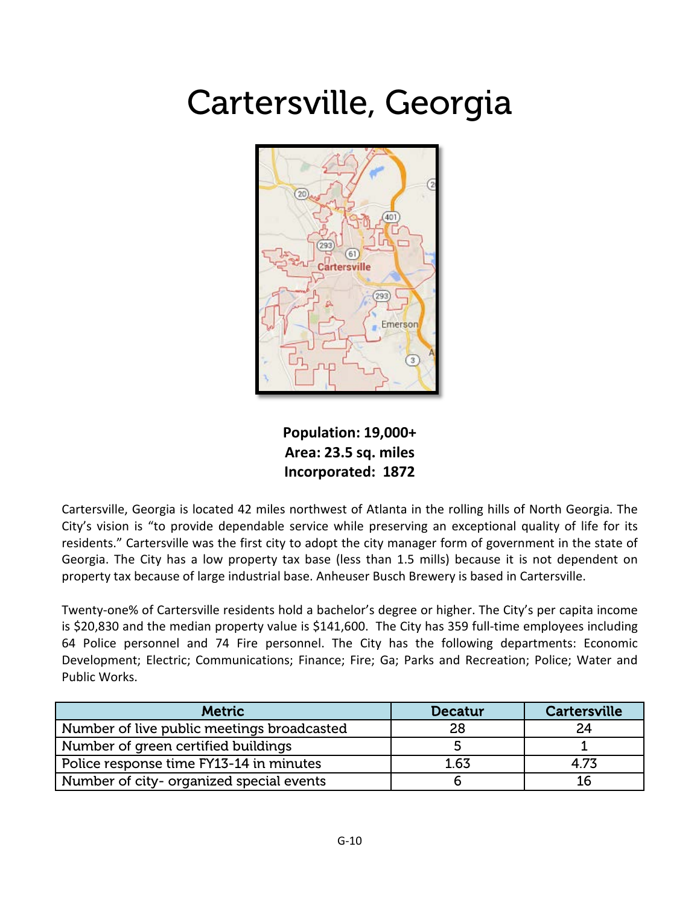#### Cartersville, Georgia



**Population: 19,000+ Area: 23.5 sq. miles Incorporated: 1872**

Cartersville, Georgia is located 42 miles northwest of Atlanta in the rolling hills of North Georgia. The City's vision is "to provide dependable service while preserving an exceptional quality of life for its residents." Cartersville was the first city to adopt the city manager form of government in the state of Georgia. The City has a low property tax base (less than 1.5 mills) because it is not dependent on property tax because of large industrial base. Anheuser Busch Brewery is based in Cartersville.

Twenty-one% of Cartersville residents hold a bachelor's degree or higher. The City's per capita income is \$20,830 and the median property value is \$141,600. The City has 359 full-time employees including 64 Police personnel and 74 Fire personnel. The City has the following departments: Economic Development; Electric; Communications; Finance; Fire; Ga; Parks and Recreation; Police; Water and Public Works.

| <b>Metric</b>                              | <b>Decatur</b> | <b>Cartersville</b> |
|--------------------------------------------|----------------|---------------------|
| Number of live public meetings broadcasted | 28             | 24                  |
| Number of green certified buildings        |                |                     |
| Police response time FY13-14 in minutes    | 1.63           | 4.73                |
| Number of city- organized special events   |                |                     |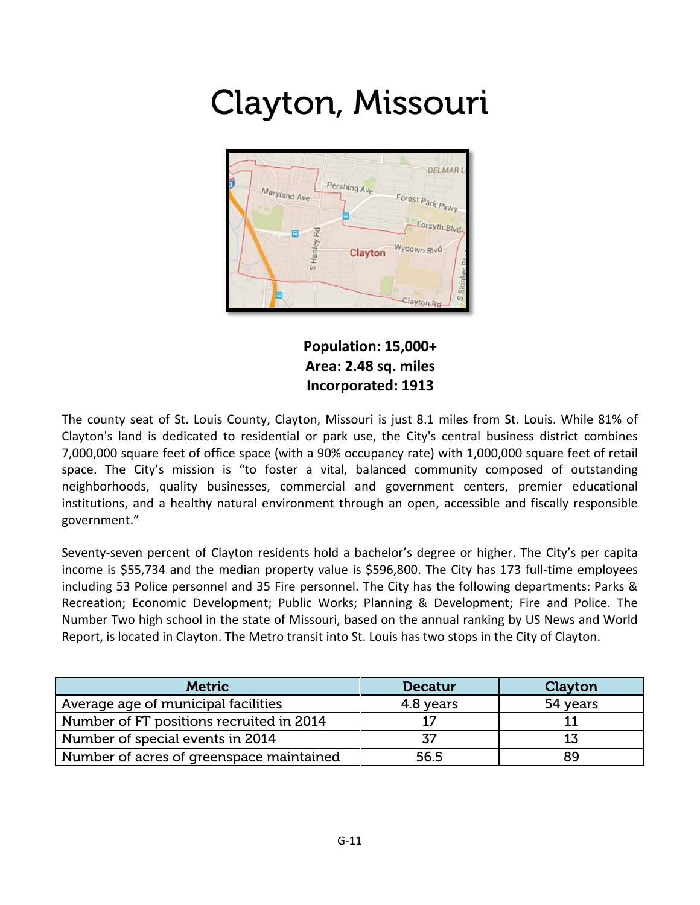#### Clayton, Missouri



**Population: 15,000+ Area: 2.48 sq. miles Incorporated: 1913**

The county seat of St. Louis County, Clayton, Missouri is just 8.1 miles from St. Louis. While 81% of Clayton's land is dedicated to residential or park use, the City's central business district combines 7,000,000 square feet of office space (with a 90% occupancy rate) with 1,000,000 square feet of retail space. The City's mission is "to foster a vital, balanced community composed of outstanding neighborhoods, quality businesses, commercial and government centers, premier educational institutions, and a healthy natural environment through an open, accessible and fiscally responsible government."

Seventy-seven percent of Clayton residents hold a bachelor's degree or higher. The City's per capita income is \$55,734 and the median property value is \$596,800. The City has 173 full-time employees including 53 Police personnel and 35 Fire personnel. The City has the following departments: Parks & Recreation; Economic Development; Public Works; Planning & Development; Fire and Police. The Number Two high school in the state of Missouri, based on the annual ranking by US News and World Report, is located in Clayton. The Metro transit into St. Louis has two stops in the City of Clayton.

| <b>Metric</b>                            | <b>Decatur</b> | Clayton  |
|------------------------------------------|----------------|----------|
| Average age of municipal facilities      | 4.8 years      | 54 years |
| Number of FT positions recruited in 2014 |                |          |
| Number of special events in 2014         |                |          |
| Number of acres of greenspace maintained | 56.5           | 89       |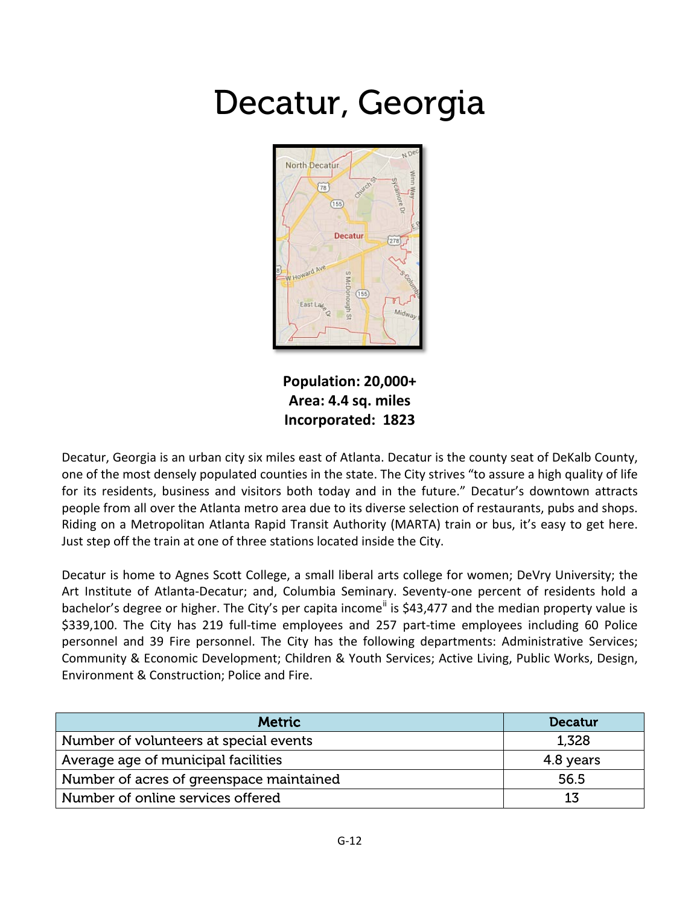#### Decatur, Georgia



**Population: 20,000+ Area: 4.4 sq. miles Incorporated: 1823**

Decatur, Georgia is an urban city six miles east of Atlanta. Decatur is the county seat of DeKalb County, one of the most densely populated counties in the state. The City strives "to assure a high quality of life for its residents, business and visitors both today and in the future." Decatur's downtown attracts people from all over the Atlanta metro area due to its diverse selection of restaurants, pubs and shops. Riding on a Metropolitan Atlanta Rapid Transit Authority (MARTA) train or bus, it's easy to get here. Just step off the train at one of three stations located inside the City.

Decatur is home to Agnes Scott College, a small liberal arts college for women; DeVry University; the Art Institute of Atlanta-Decatur; and, Columbia Seminary. Seventy-one percent of residents hold a bachelor's degree or higher. The City's per capita income<sup>"</sup> is \$43,477 and the median property value is \$339,100. The City has 219 full-time employees and 257 part-time employees including 60 Police personnel and 39 Fire personnel. The City has the following departments: Administrative Services; Community & Economic Development; Children & Youth Services; Active Living, Public Works, Design, Environment & Construction; Police and Fire.

| <b>Metric</b>                            | <b>Decatur</b> |
|------------------------------------------|----------------|
| Number of volunteers at special events   | 1,328          |
| Average age of municipal facilities      | 4.8 years      |
| Number of acres of greenspace maintained | 56.5           |
| Number of online services offered        | 13             |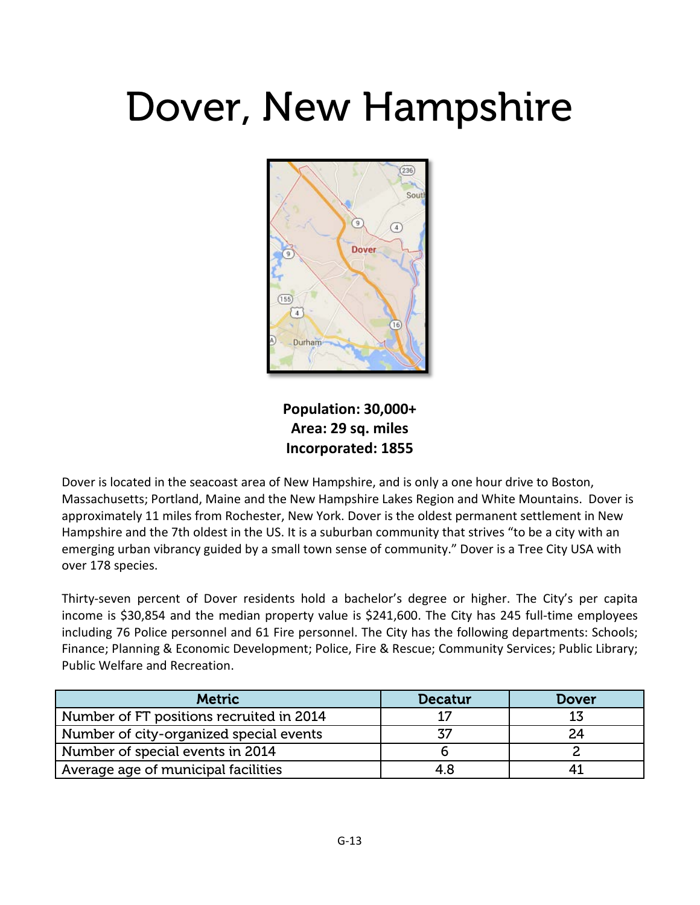## Dover, New Hampshire



**Population: 30,000+ Area: 29 sq. miles Incorporated: 1855**

Dover is located in the seacoast area of New Hampshire, and is only a one hour drive to Boston, Massachusetts; Portland, Maine and the New Hampshire Lakes Region and White Mountains. Dover is approximately 11 miles from Rochester, New York. Dover is the oldest permanent settlement in New Hampshire and the 7th oldest in the US. It is a suburban community that strives "to be a city with an emerging urban vibrancy guided by a small town sense of community." Dover is a Tree City USA with over 178 species.

Thirty-seven percent of Dover residents hold a bachelor's degree or higher. The City's per capita income is \$30,854 and the median property value is \$241,600. The City has 245 full-time employees including 76 Police personnel and 61 Fire personnel. The City has the following departments: Schools; Finance; Planning & Economic Development; Police, Fire & Rescue; Community Services; Public Library; Public Welfare and Recreation.

| <b>Metric</b>                            | <b>Decatur</b> | Dover |
|------------------------------------------|----------------|-------|
| Number of FT positions recruited in 2014 |                |       |
| Number of city-organized special events  | 77             |       |
| Number of special events in 2014         |                |       |
| Average age of municipal facilities      | 4 R            |       |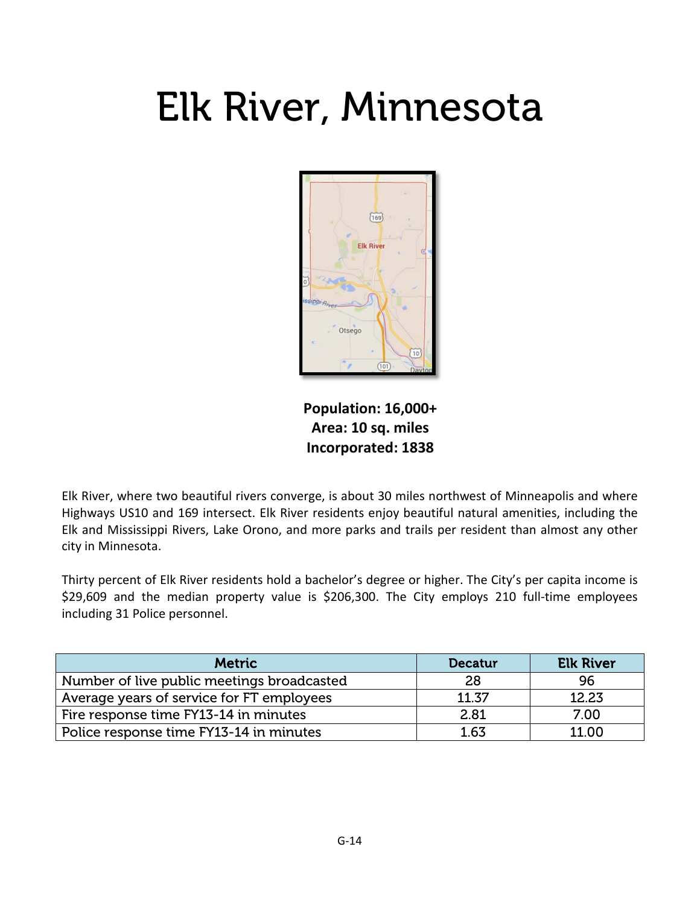## Elk River, Minnesota



**Population: 16,000+ Area: 10 sq. miles Incorporated: 1838**

Elk River, where two beautiful rivers converge, is about 30 miles northwest of Minneapolis and where Highways US10 and 169 intersect. Elk River residents enjoy beautiful natural amenities, including the Elk and Mississippi Rivers, Lake Orono, and more parks and trails per resident than almost any other city in Minnesota.

Thirty percent of Elk River residents hold a bachelor's degree or higher. The City's per capita income is \$29,609 and the median property value is \$206,300. The City employs 210 full-time employees including 31 Police personnel.

| <b>Metric</b>                              | <b>Decatur</b> | <b>Elk River</b> |
|--------------------------------------------|----------------|------------------|
| Number of live public meetings broadcasted | 28             | 96               |
| Average years of service for FT employees  | 11.37          | 12.23            |
| Fire response time FY13-14 in minutes      | 2.81           | 7.00             |
| Police response time FY13-14 in minutes    | 1.63           | 11.00            |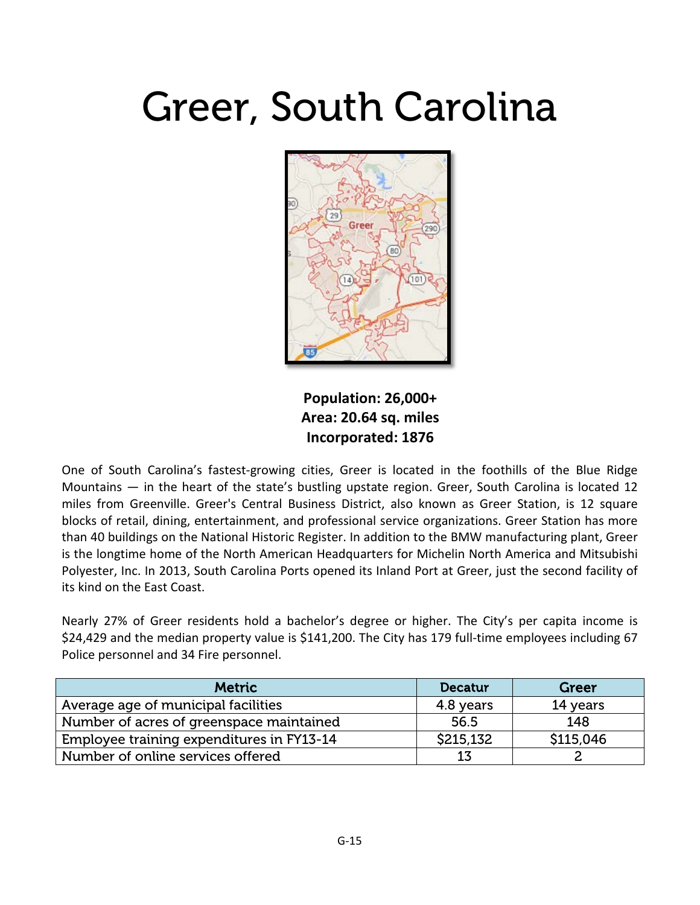#### Greer, South Carolina



**Population: 26,000+ Area: 20.64 sq. miles Incorporated: 1876**

One of South Carolina's fastest-growing cities, Greer is located in the foothills of the Blue Ridge Mountains — in the heart of the state's bustling upstate region. Greer, South Carolina is located 12 miles from Greenville. Greer's Central Business District, also known as Greer Station, is 12 square blocks of retail, dining, entertainment, and professional service organizations. Greer Station has more than 40 buildings on the National Historic Register. In addition to the BMW manufacturing plant, Greer is the longtime home of the North American Headquarters for Michelin North America and Mitsubishi Polyester, Inc. In 2013, South Carolina Ports opened its Inland Port at Greer, just the second facility of its kind on the East Coast.

Nearly 27% of Greer residents hold a bachelor's degree or higher. The City's per capita income is \$24,429 and the median property value is \$141,200. The City has 179 full-time employees including 67 Police personnel and 34 Fire personnel.

| <b>Metric</b>                             | <b>Decatur</b> | Greer     |
|-------------------------------------------|----------------|-----------|
| Average age of municipal facilities       | 4.8 years      | 14 years  |
| Number of acres of greenspace maintained  | 56.5           | 148       |
| Employee training expenditures in FY13-14 | \$215,132      | \$115,046 |
| Number of online services offered         | 13             |           |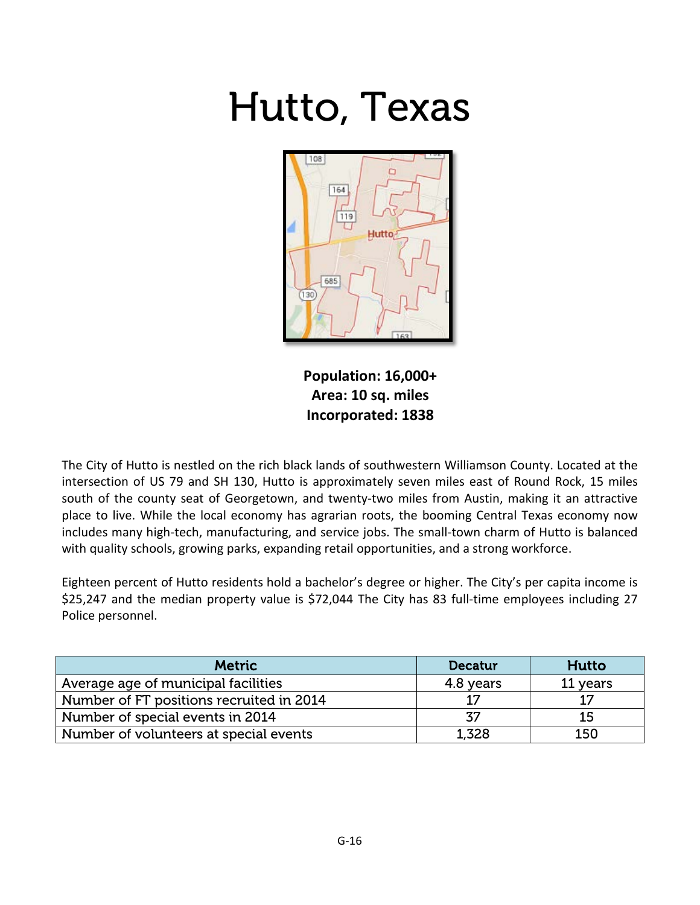# Hutto, Texas



**Population: 16,000+ Area: 10 sq. miles Incorporated: 1838**

The City of Hutto is nestled on the rich black lands of southwestern Williamson County. Located at the intersection of US 79 and SH 130, Hutto is approximately seven miles east of Round Rock, 15 miles south of the county seat of Georgetown, and twenty-two miles from Austin, making it an attractive place to live. While the local economy has agrarian roots, the booming Central Texas economy now includes many high-tech, manufacturing, and service jobs. The small-town charm of Hutto is balanced with quality schools, growing parks, expanding retail opportunities, and a strong workforce.

Eighteen percent of Hutto residents hold a bachelor's degree or higher. The City's per capita income is \$25,247 and the median property value is \$72,044 The City has 83 full-time employees including 27 Police personnel.

| <b>Metric</b>                            | <b>Decatur</b> | Hutto    |
|------------------------------------------|----------------|----------|
| Average age of municipal facilities      | 4.8 years      | 11 years |
| Number of FT positions recruited in 2014 |                | 17       |
| Number of special events in 2014         | 37             | 15       |
| Number of volunteers at special events   | 1,328          | 150      |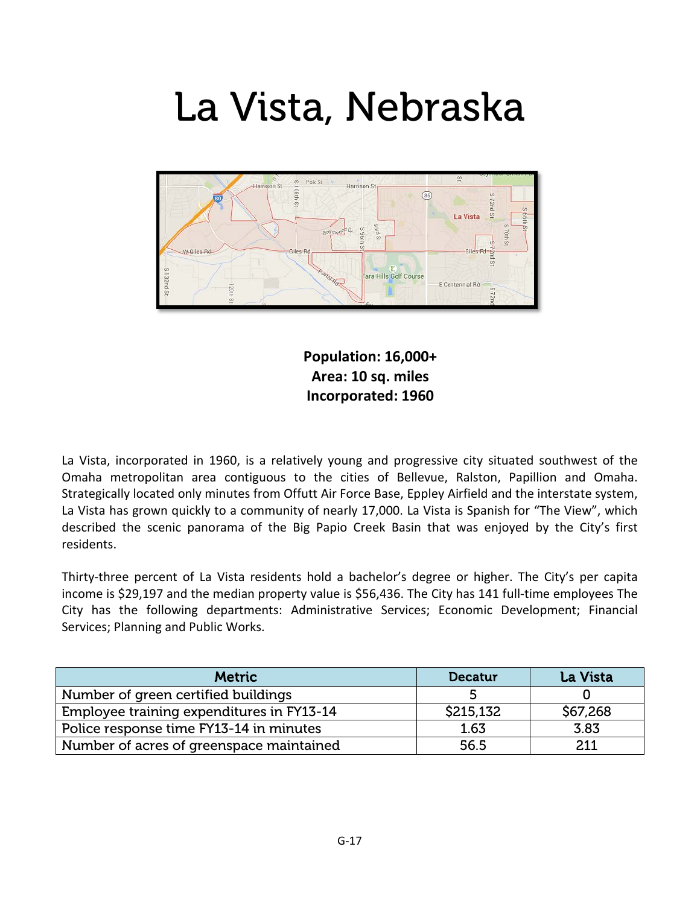## La Vista, Nebraska



**Population: 16,000+ Area: 10 sq. miles Incorporated: 1960**

La Vista, incorporated in 1960, is a relatively young and progressive city situated southwest of the Omaha metropolitan area contiguous to the cities of Bellevue, Ralston, Papillion and Omaha. Strategically located only minutes from Offutt Air Force Base, Eppley Airfield and the interstate system, La Vista has grown quickly to a community of nearly 17,000. La Vista is Spanish for "The View", which described the scenic panorama of the Big Papio Creek Basin that was enjoyed by the City's first residents.

Thirty-three percent of La Vista residents hold a bachelor's degree or higher. The City's per capita income is \$29,197 and the median property value is \$56,436. The City has 141 full-time employees The City has the following departments: Administrative Services; Economic Development; Financial Services; Planning and Public Works.

| <b>Metric</b>                             | <b>Decatur</b> | <b>La Vista</b> |
|-------------------------------------------|----------------|-----------------|
| Number of green certified buildings       |                |                 |
| Employee training expenditures in FY13-14 | \$215,132      | \$67,268        |
| Police response time FY13-14 in minutes   | 1.63           | 3.83            |
| Number of acres of greenspace maintained  | 56.5           | 211             |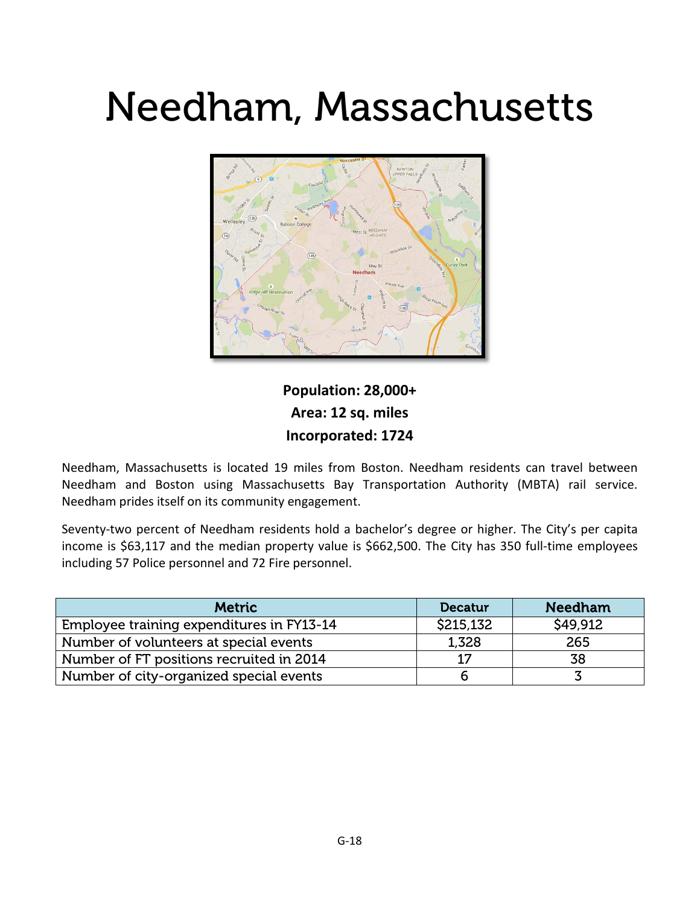## Needham, Massachusetts



#### **Population: 28,000+ Area: 12 sq. miles Incorporated: 1724**

Needham, Massachusetts is located 19 miles from Boston. Needham residents can travel between Needham and Boston using Massachusetts Bay Transportation Authority (MBTA) rail service. Needham prides itself on its community engagement.

Seventy-two percent of Needham residents hold a bachelor's degree or higher. The City's per capita income is \$63,117 and the median property value is \$662,500. The City has 350 full-time employees including 57 Police personnel and 72 Fire personnel.

| <b>Metric</b>                             | <b>Decatur</b> | <b>Needham</b> |
|-------------------------------------------|----------------|----------------|
| Employee training expenditures in FY13-14 | \$215,132      | \$49,912       |
| Number of volunteers at special events    | 1,328          | 265            |
| Number of FT positions recruited in 2014  | 17             | 38             |
| Number of city-organized special events   | b              |                |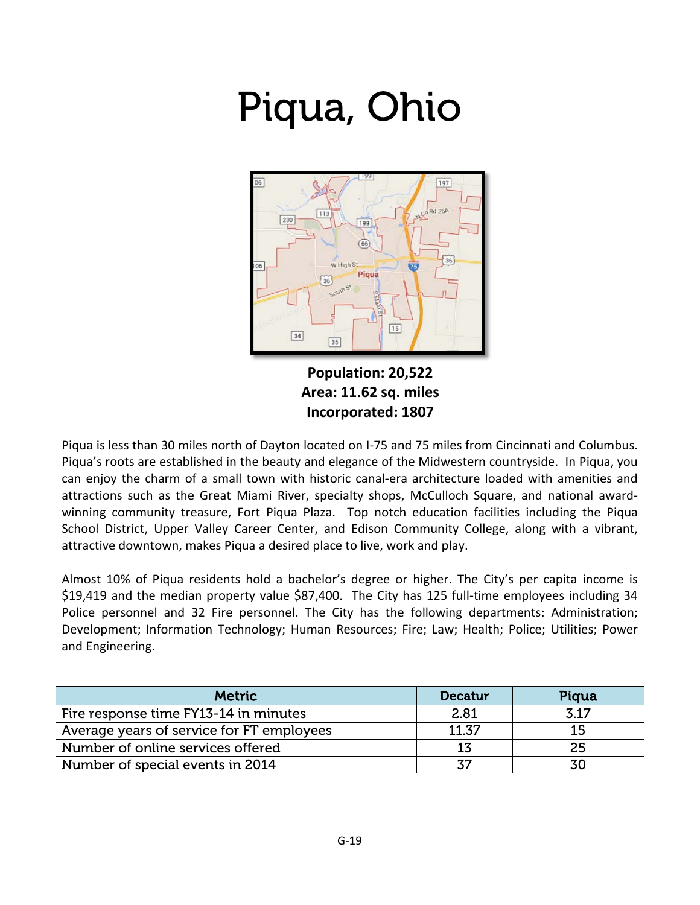# Piqua, Ohio



**Population: 20,522 Area: 11.62 sq. miles Incorporated: 1807**

Piqua is less than 30 miles north of Dayton located on I-75 and 75 miles from Cincinnati and Columbus. Piqua's roots are established in the beauty and elegance of the Midwestern countryside. In Piqua, you can enjoy the charm of a small town with historic canal-era architecture loaded with amenities and attractions such as the Great Miami River, specialty shops, McCulloch Square, and national awardwinning community treasure, Fort Piqua Plaza. Top notch education facilities including the Piqua School District, Upper Valley Career Center, and Edison Community College, along with a vibrant, attractive downtown, makes Piqua a desired place to live, work and play.

Almost 10% of Piqua residents hold a bachelor's degree or higher. The City's per capita income is \$19,419 and the median property value \$87,400. The City has 125 full-time employees including 34 Police personnel and 32 Fire personnel. The City has the following departments: Administration; Development; Information Technology; Human Resources; Fire; Law; Health; Police; Utilities; Power and Engineering.

| <b>Metric</b>                             | <b>Decatur</b> | Pigua |
|-------------------------------------------|----------------|-------|
| Fire response time FY13-14 in minutes     | 2.81           | 3 1 7 |
| Average years of service for FT employees | 11.37          | 15    |
| Number of online services offered         | 13             | 25    |
| Number of special events in 2014          | 37             | 30    |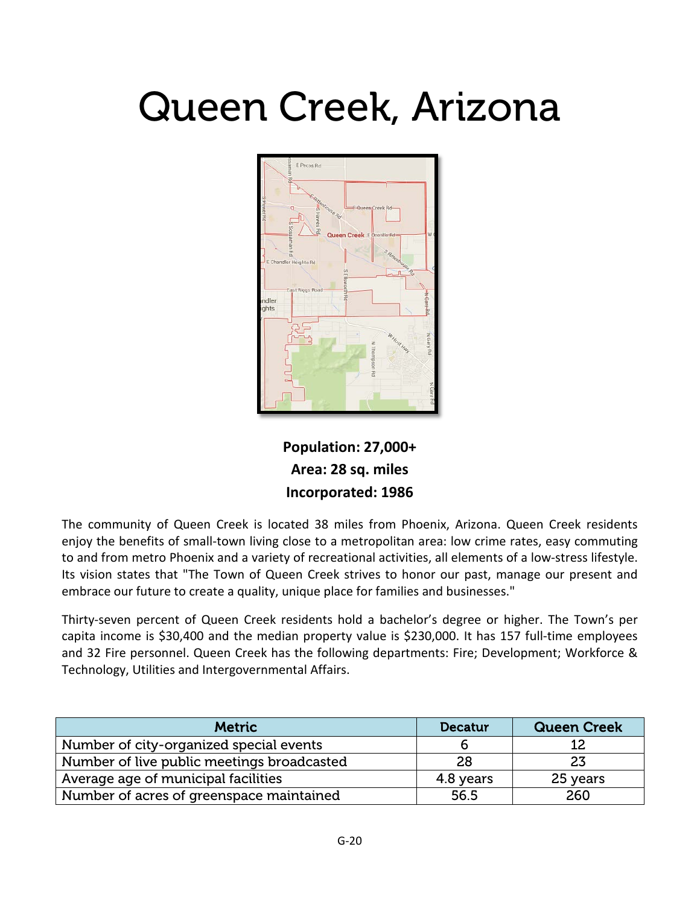## Queen Creek, Arizona



**Population: 27,000+ Area: 28 sq. miles Incorporated: 1986**

The community of Queen Creek is located 38 miles from Phoenix, Arizona. Queen Creek residents enjoy the benefits of small-town living close to a metropolitan area: low crime rates, easy commuting to and from metro Phoenix and a variety of recreational activities, all elements of a low-stress lifestyle. Its vision states that "The Town of Queen Creek strives to honor our past, manage our present and embrace our future to create a quality, unique place for families and businesses."

Thirty-seven percent of Queen Creek residents hold a bachelor's degree or higher. The Town's per capita income is \$30,400 and the median property value is \$230,000. It has 157 full-time employees and 32 Fire personnel. Queen Creek has the following departments: Fire; Development; Workforce & Technology, Utilities and Intergovernmental Affairs.

| <b>Metric</b>                              | <b>Decatur</b> | <b>Queen Creek</b> |
|--------------------------------------------|----------------|--------------------|
| Number of city-organized special events    |                |                    |
| Number of live public meetings broadcasted | 28             | 23                 |
| Average age of municipal facilities        | 4.8 years      | 25 years           |
| Number of acres of greenspace maintained   | 56.5           | 260                |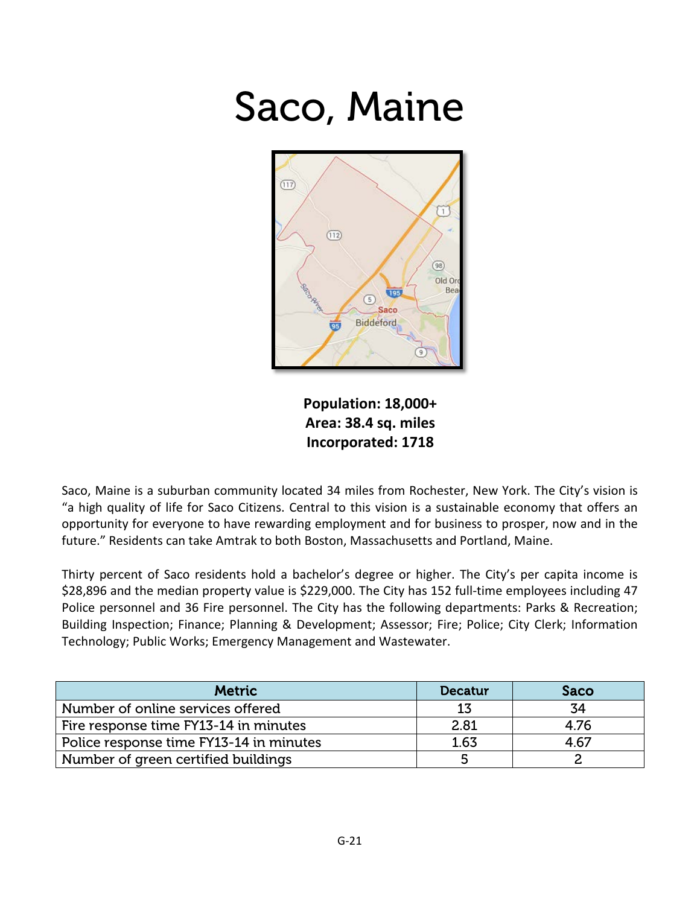#### Saco, Maine



**Population: 18,000+ Area: 38.4 sq. miles Incorporated: 1718**

Saco, Maine is a suburban community located 34 miles from Rochester, New York. The City's vision is "a high quality of life for Saco Citizens. Central to this vision is a sustainable economy that offers an opportunity for everyone to have rewarding employment and for business to prosper, now and in the future." Residents can take Amtrak to both Boston, Massachusetts and Portland, Maine.

Thirty percent of Saco residents hold a bachelor's degree or higher. The City's per capita income is \$28,896 and the median property value is \$229,000. The City has 152 full-time employees including 47 Police personnel and 36 Fire personnel. The City has the following departments: Parks & Recreation; Building Inspection; Finance; Planning & Development; Assessor; Fire; Police; City Clerk; Information Technology; Public Works; Emergency Management and Wastewater.

| <b>Metric</b>                           | <b>Decatur</b> | Saco |
|-----------------------------------------|----------------|------|
| Number of online services offered       | 13             | 34   |
| Fire response time FY13-14 in minutes   | 2.81           | 4.76 |
| Police response time FY13-14 in minutes | 1.63           | 4.67 |
| Number of green certified buildings     |                |      |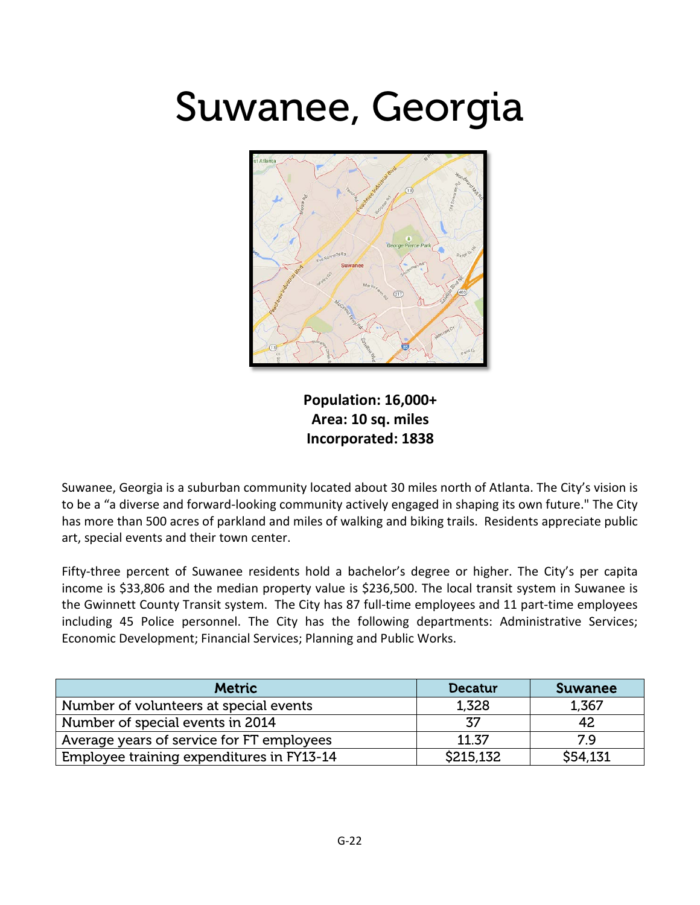#### Suwanee, Georgia



**Population: 16,000+ Area: 10 sq. miles Incorporated: 1838**

Suwanee, Georgia is a suburban community located about 30 miles north of Atlanta. The City's vision is to be a "a diverse and forward-looking community actively engaged in shaping its own future." The City has more than 500 acres of parkland and miles of walking and biking trails. Residents appreciate public art, special events and their town center.

Fifty-three percent of Suwanee residents hold a bachelor's degree or higher. The City's per capita income is \$33,806 and the median property value is \$236,500. The local transit system in Suwanee is the Gwinnett County Transit system. The City has 87 full-time employees and 11 part-time employees including 45 Police personnel. The City has the following departments: Administrative Services; Economic Development; Financial Services; Planning and Public Works.

| <b>Metric</b>                             | Decatur   | <b>Suwanee</b> |
|-------------------------------------------|-----------|----------------|
| Number of volunteers at special events    | 1,328     | 1,367          |
| Number of special events in 2014          | 37        | 42             |
| Average years of service for FT employees | 11.37     | 79             |
| Employee training expenditures in FY13-14 | \$215,132 | \$54,131       |